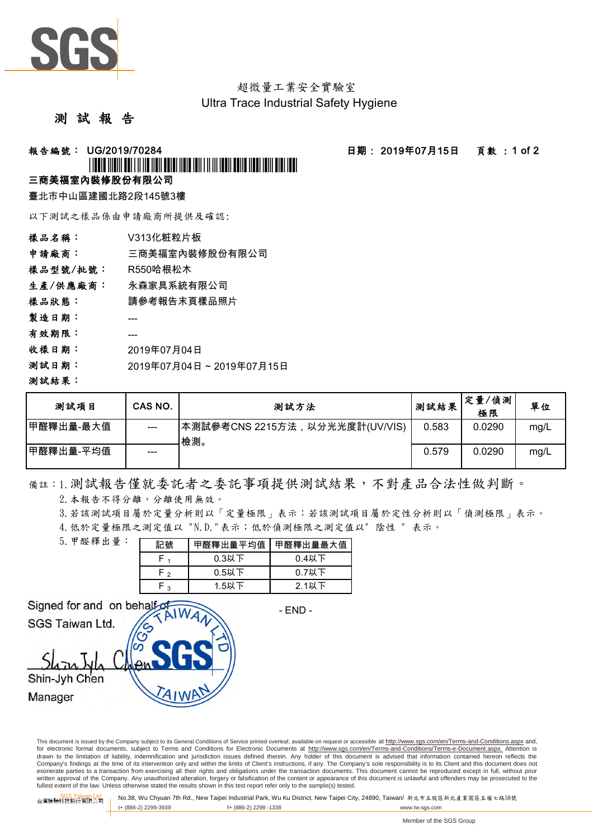

超微量工業安全實驗室 Ultra Trace Industrial Safety Hygiene

#### 測 試 報 告

#### **報告編號: UG/2019/70284 - - - - - - - - - - - - - - 日期: 2019年07月15日 - - 頁數 : 1 of 2**

# <u>\*UGO/2019/11/2019/11/11/2019/11/2019/11/2019</u>

### 三商美福室內裝修股份有限公司

臺北市中山區建國北路2段145號3樓

以下測試之樣品係由申請廠商所提供及確認:

| 樣品名稱:    | V313化粧粒片板               |
|----------|-------------------------|
| 申請廠商:    | 三商美福室內裝修股份有限公司          |
| 樣品型號/批號: | R550哈根松木                |
| 生產/供應廠商: | 永森家具系統有限公司              |
| 樣品狀態:    | 請參考報告末頁樣品照片             |
| 製造日期:    |                         |
| 有效期限:    |                         |
| 收樣日期:    | 2019年07月04日             |
| 测試日期:    | 2019年07月04日~2019年07月15日 |
| 測試結果:    |                         |

| 测試項目       | CAS NO. | 测試方法                                  | 测試結果  | 定量/偵測<br>極限 | 單位   |
|------------|---------|---------------------------------------|-------|-------------|------|
| 甲醛釋出量-最大值  | ---     | 本測試參考CNS 2215方法,以分光光度計(UV/VIS)<br>檢測。 | 0.583 | 0.0290      | mg/L |
| ┃甲醛釋出量-平均值 | ---     |                                       | 0.579 | 0.0290      | mg/L |

## 備註:1.測試報告僅就委託者之委託事項提供測試結果,不對產品合法性做判斷。

2. 本報告不得分離,分離使用無效。

3.若該測試項目屬於定量分析則以「定量極限」表示;若該測試項目屬於定性分析則以「偵測極限」表示。

4.低於定量極限之測定值以 "N.D."表示;低於偵測極限之測定值以" 陰性 " 表示。

| 5. 甲醛釋出量: | 記號           | 甲醛釋出量平均值 | 甲醛釋出量最大值 |  |  |
|-----------|--------------|----------|----------|--|--|
|           |              | $0.3$ 以下 | $0.4$ 以下 |  |  |
|           | ົ            | $0.5$ 以下 | $0.7$ 以下 |  |  |
|           | $\mathbf{z}$ | 1.5以下    | $2.1$ 以下 |  |  |

Signed for and on behalf SGS Taiwan Ltd.

- END -

Shin-Jyh Chen

Manager

This document is issued by the Company subject to its General Conditions of Service printed overleaf, available on request or accessible at http://www.sgs.com/en/Terms-and-Conditions.aspx and, for electronic format documents, subject to Terms and Conditions for Electronic Documents at http://www.sgs.com/en/Terms-and-Conditions/Terms-e-Document.aspx. Attention is drawn to the limitation of liability, indemnification and jurisdiction issues defined therein. Any holder of this document is advised that information contained hereon reflects the<br>Company's findings at the time of its int exonerate parties to a transaction from exercising all their rights and obligations under the transaction documents. This document cannot be reproduced except in full, without prior written approval of the Company. Any unauthorized alteration, forgery or falsification of the content or appearance of this document is unlawful and offenders may be prosecuted to the<br>fullest extent of the law. Unless othe